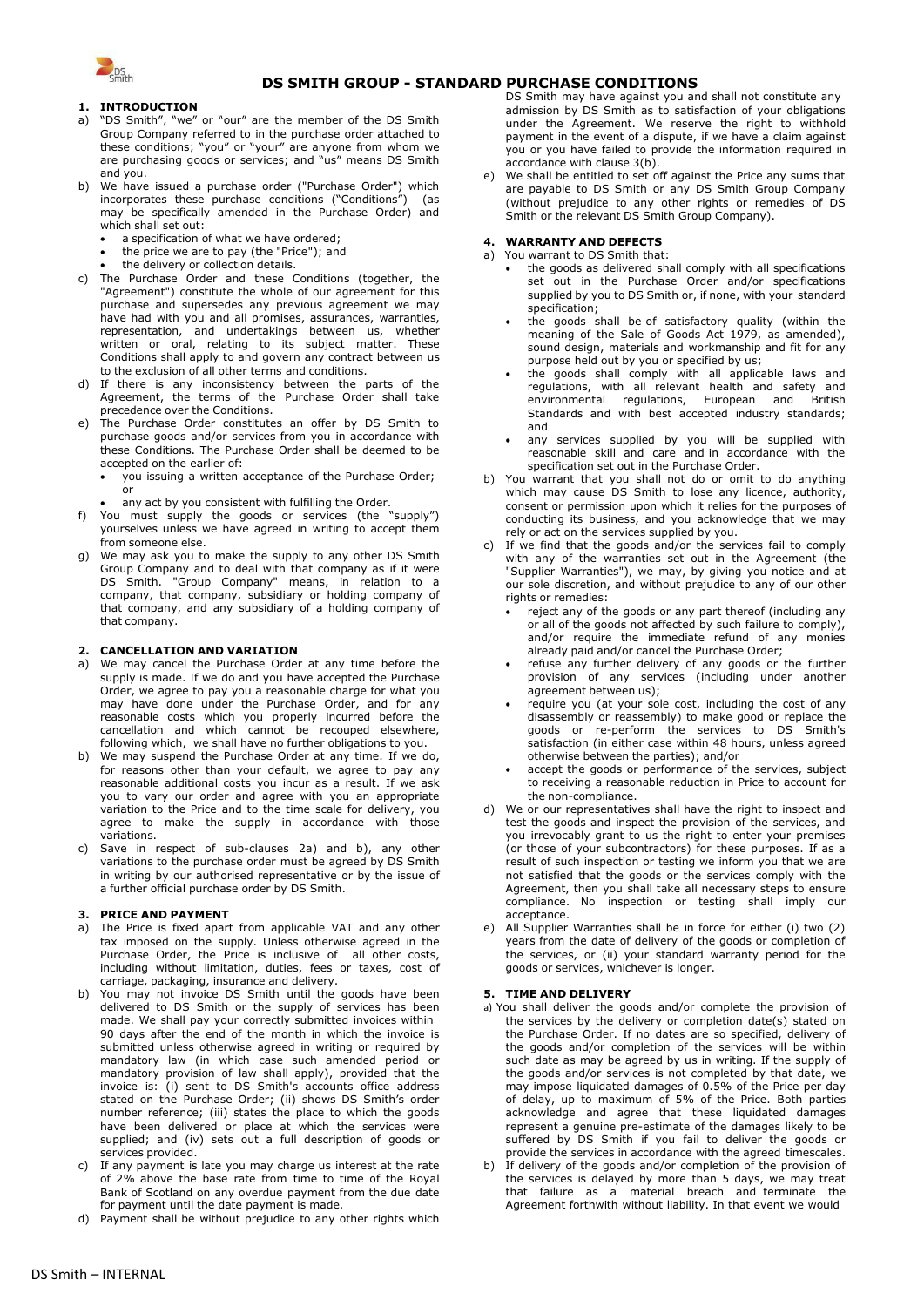

# **DS SMITH GROUP - STANDARD PURCHASE CONDITIONS**

## **1. INTRODUCTION**

- a) "DS Smith", "we" or "our" are the member of the DS Smith Group Company referred to in the purchase order attached to these conditions; "you" or "your" are anyone from whom we are purchasing goods or services; and "us" means DS Smith and you.
- We have issued a purchase order ("Purchase Order") which incorporates these purchase conditions ("Conditions") (as may be specifically amended in the Purchase Order) and which shall set out:
	- a specification of what we have ordered;
	- the price we are to pay (the "Price"); and
	- the delivery or collection details.
- c) The Purchase Order and these Conditions (together, the "Agreement") constitute the whole of our agreement for this purchase and supersedes any previous agreement we may have had with you and all promises, assurances, warranties, representation, and undertakings between us, whether written or oral, relating to its subject matter. These Conditions shall apply to and govern any contract between us to the exclusion of all other terms and conditions.
- d) If there is any inconsistency between the parts of the Agreement, the terms of the Purchase Order shall take precedence over the Conditions.
- e) The Purchase Order constitutes an offer by DS Smith to purchase goods and/or services from you in accordance with these Conditions. The Purchase Order shall be deemed to be accepted on the earlier of:
	- you issuing a written acceptance of the Purchase Order; or
	- any act by you consistent with fulfilling the Order.
- f) You must supply the goods or services (the "supply") yourselves unless we have agreed in writing to accept them from someone else.
- g) We may ask you to make the supply to any other DS Smith Group Company and to deal with that company as if it were DS Smith. "Group Company" means, in relation to a company, that company, subsidiary or holding company of that company, and any subsidiary of a holding company of that company.

### **2. CANCELLATION AND VARIATION**

- <span id="page-0-0"></span>a) We may cancel the Purchase Order at any time before the supply is made. If we do and you have accepted the Purchase Order, we agree to pay you a reasonable charge for what you may have done under the Purchase Order, and for any reasonable costs which you properly incurred before the cancellation and which cannot be recouped elsewhere, following which, we shall have no further obligations to you.
- <span id="page-0-1"></span>We may suspend the Purchase Order at any time. If we do, for reasons other than your default, we agree to pay any reasonable additional costs you incur as a result. If we ask you to vary our order and agree with you an appropriate variation to the Price and to the time scale for delivery, you agree to make the supply in accordance with those variations.
- c) Save in respect of sub-clauses [2a\)](#page-0-0) and [b\),](#page-0-1) any other variations to the purchase order must be agreed by DS Smith in writing by our authorised representative or by the issue of a further official purchase order by DS Smith.

## **3. PRICE AND PAYMENT**

- a) The Price is fixed apart from applicable VAT and any other tax imposed on the supply. Unless otherwise agreed in the Purchase Order, the Price is inclusive of all other costs, including without limitation, duties, fees or taxes, cost of carriage, packaging, insurance and delivery.
- b) You may not invoice DS Smith until the goods have been delivered to DS Smith or the supply of services has been made. We shall pay your correctly submitted invoices within 90 days after the end of the month in which the invoice is submitted unless otherwise agreed in writing or required by mandatory law (in which case such amended period or mandatory provision of law shall apply), provided that the invoice is: (i) sent to DS Smith's accounts office address stated on the Purchase Order; (ii) shows DS Smith's order number reference; (iii) states the place to which the goods have been delivered or place at which the services were supplied; and (iv) sets out a full description of goods or services provided.
- c) If any payment is late you may charge us interest at the rate of 2% above the base rate from time to time of the Royal Bank of Scotland on any overdue payment from the due date for payment until the date payment is made.
- d) Payment shall be without prejudice to any other rights which

DS Smith may have against you and shall not constitute any admission by DS Smith as to satisfaction of your obligations under the Agreement. We reserve the right to withhold payment in the event of a dispute, if we have a claim against you or you have failed to provide the information required in accordance with clause 3(b).

e) We shall be entitled to set off against the Price any sums that are payable to DS Smith or any DS Smith Group Company (without prejudice to any other rights or remedies of DS Smith or the relevant DS Smith Group Company).

#### **4. WARRANTY AND DEFECTS**

- a) You warrant to DS Smith that: the goods as delivered shall comply with all specifications set out in the Purchase Order and/or specifications supplied by you to DS Smith or, if none, with your standard specification;
	- the goods shall be of satisfactory quality (within the meaning of the Sale of Goods Act 1979, as amended), sound design, materials and workmanship and fit for any purpose held out by you or specified by us;
	- the goods shall comply with all applicable laws and regulations, with all relevant health and safety and environmental regulations, European and British Standards and with best accepted industry standards; and
	- any services supplied by you will be supplied with reasonable skill and care and in accordance with the specification set out in the Purchase Order.
- b) You warrant that you shall not do or omit to do anything which may cause DS Smith to lose any licence, authority, consent or permission upon which it relies for the purposes of conducting its business, and you acknowledge that we may rely or act on the services supplied by you.
- c) If we find that the goods and/or the services fail to comply with any of the warranties set out in the Agreement (the "Supplier Warranties"), we may, by giving you notice and at our sole discretion, and without prejudice to any of our other rights or remedies:
	- reject any of the goods or any part thereof (including any or all of the goods not affected by such failure to comply), and/or require the immediate refund of any monies already paid and/or cancel the Purchase Order;
	- refuse any further delivery of any goods or the further provision of any services (including under another agreement between us);
	- require you (at your sole cost, including the cost of any disassembly or reassembly) to make good or replace the goods or re-perform the services to DS Smith's satisfaction (in either case within 48 hours, unless agreed otherwise between the parties); and/or
	- accept the goods or performance of the services, subject to receiving a reasonable reduction in Price to account for the non-compliance.
- d) We or our representatives shall have the right to inspect and test the goods and inspect the provision of the services, and you irrevocably grant to us the right to enter your premises (or those of your subcontractors) for these purposes. If as a result of such inspection or testing we inform you that we are not satisfied that the goods or the services comply with the Agreement, then you shall take all necessary steps to ensure compliance. No inspection or testing shall imply our acceptance.
- e) All Supplier Warranties shall be in force for either (i) two (2) years from the date of delivery of the goods or completion of the services, or (ii) your standard warranty period for the goods or services, whichever is longer.

## **5. TIME AND DELIVERY**

- a) You shall deliver the goods and/or complete the provision of the services by the delivery or completion date(s) stated on the Purchase Order. If no dates are so specified, delivery of the goods and/or completion of the services will be within such date as may be agreed by us in writing. If the supply of the goods and/or services is not completed by that date, we may impose liquidated damages of 0.5% of the Price per day of delay, up to maximum of 5% of the Price. Both parties acknowledge and agree that these liquidated damages represent a genuine pre-estimate of the damages likely to be suffered by DS Smith if you fail to deliver the goods or provide the services in accordance with the agreed timescales.
- If delivery of the goods and/or completion of the provision of the services is delayed by more than 5 days, we may treat that failure as a material breach and terminate the Agreement forthwith without liability. In that event we would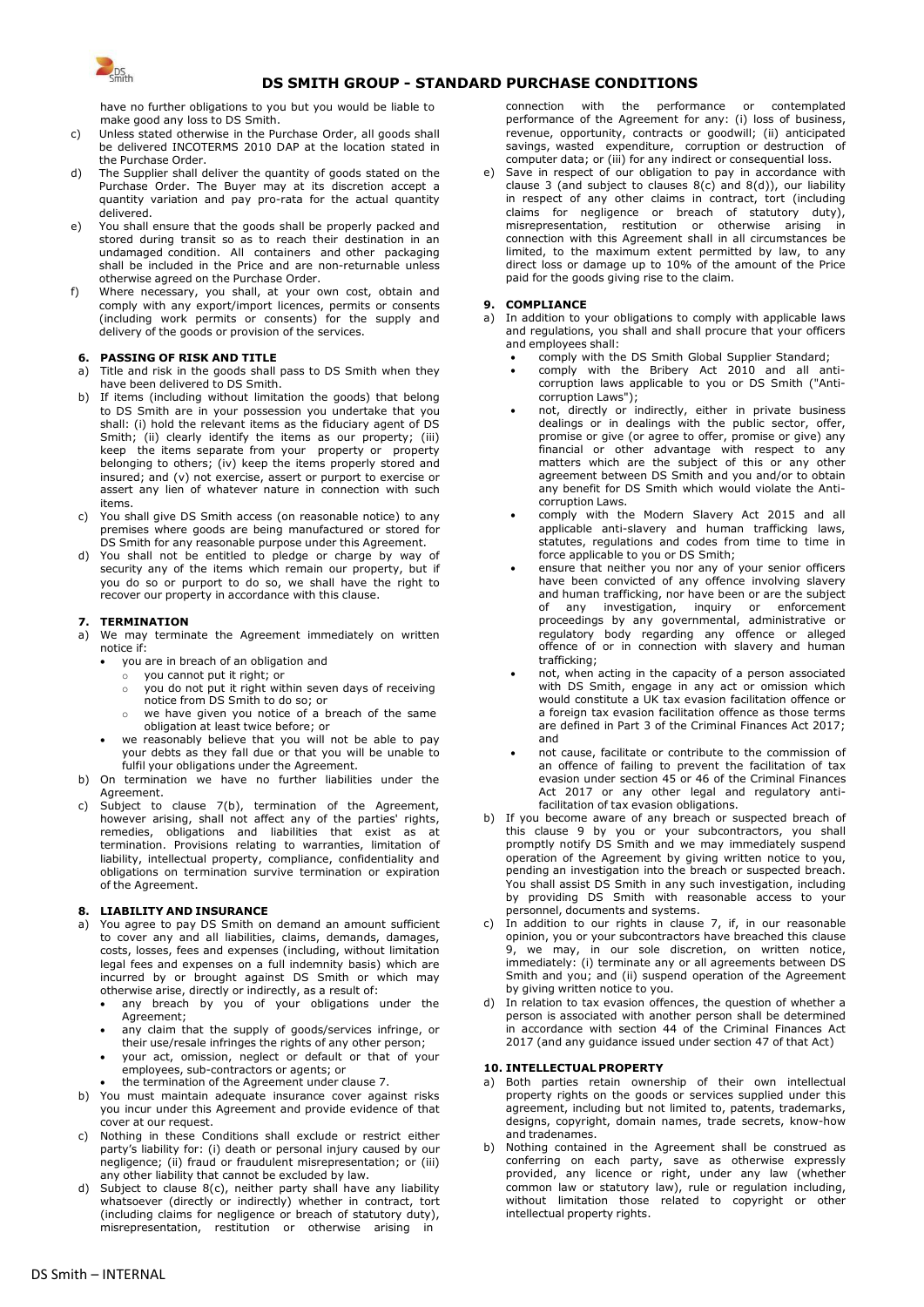

# **DS SMITH GROUP - STANDARD PURCHASE CONDITIONS**

have no further obligations to you but you would be liable to make good any loss to DS Smith.

- c) Unless stated otherwise in the Purchase Order, all goods shall be delivered INCOTERMS 2010 DAP at the location stated in the Purchase Order.
- d) The Supplier shall deliver the quantity of goods stated on the Purchase Order. The Buyer may at its discretion accept a quantity variation and pay pro-rata for the actual quantity delivered.
- e) You shall ensure that the goods shall be properly packed and stored during transit so as to reach their destination in an undamaged condition. All containers and other packaging shall be included in the Price and are non-returnable unless otherwise agreed on the Purchase Order.
- f) Where necessary, you shall, at your own cost, obtain and comply with any export/import licences, permits or consents (including work permits or consents) for the supply and delivery of the goods or provision of the services.

### **6. PASSING OF RISK AND TITLE**

- a) Title and risk in the goods shall pass to DS Smith when they have been delivered to DS Smith.
- b) If items (including without limitation the goods) that belong to DS Smith are in your possession you undertake that you shall: (i) hold the relevant items as the fiduciary agent of DS Smith; (ii) clearly identify the items as our property; (iii) keep the items separate from your property or property belonging to others; (iv) keep the items properly stored and insured; and (v) not exercise, assert or purport to exercise or assert any lien of whatever nature in connection with such items.
- c) You shall give DS Smith access (on reasonable notice) to any premises where goods are being manufactured or stored for DS Smith for any reasonable purpose under this Agreement.
- d) You shall not be entitled to pledge or charge by way of security any of the items which remain our property, but if you do so or purport to do so, we shall have the right to recover our property in accordance with this clause.

#### **7. TERMINATION**

- a) We may terminate the Agreement immediately on written notice if:
	- you are in breach of an obligation and
	- o you cannot put it right; or
	- o you do not put it right within seven days of receiving
	- notice from DS Smith to do so; or we have given you notice of a breach of the same obligation at least twice before; or
	- we reasonably believe that you will not be able to pay your debts as they fall due or that you will be unable to fulfil your obligations under the Agreement.
- b) On termination we have no further liabilities under the Agreement.
- c) Subject to clause 7(b), termination of the Agreement, however arising, shall not affect any of the parties' rights, remedies, obligations and liabilities that exist as at termination. Provisions relating to warranties, limitation of liability, intellectual property, compliance, confidentiality and obligations on termination survive termination or expiration of the Agreement.

## **8. LIABILITY AND INSURANCE**

- a) You agree to pay DS Smith on demand an amount sufficient to cover any and all liabilities, claims, demands, damages, costs, losses, fees and expenses (including, without limitation legal fees and expenses on a full indemnity basis) which are incurred by or brought against DS Smith or which may otherwise arise, directly or indirectly, as a result of:
	- any breach by you of your obligations under the Agreement;
	- any claim that the supply of goods/services infringe, or their use/resale infringes the rights of any other person;
	- your act, omission, neglect or default or that of your employees, sub-contractors or agents; or
	- the termination of the Agreement under clause 7.
- b) You must maintain adequate insurance cover against risks you incur under this Agreement and provide evidence of that cover at our request.
- c) Nothing in these Conditions shall exclude or restrict either party's liability for: (i) death or personal injury caused by our negligence; (ii) fraud or fraudulent misrepresentation; or (iii) any other liability that cannot be excluded by law.
- d) Subject to clause 8(c), neither party shall have any liability whatsoever (directly or indirectly) whether in contract, tort (including claims for negligence or breach of statutory duty), misrepresentation, restitution or otherwise arising in

connection with the performance or contemplated performance of the Agreement for any: (i) loss of business, revenue, opportunity, contracts or goodwill; (ii) anticipated savings, wasted expenditure, corruption or destruction of computer data; or (iii) for any indirect or consequential loss.

Save in respect of our obligation to pay in accordance with clause 3 (and subject to clauses  $8(c)$  and  $8(d)$ ), our liability in respect of any other claims in contract, tort (including claims for negligence or breach of statutory duty), misrepresentation, restitution or otherwise arising in connection with this Agreement shall in all circumstances be limited, to the maximum extent permitted by law, to any direct loss or damage up to 10% of the amount of the Price paid for the goods giving rise to the claim.

#### **9. COMPLIANCE**

- a) In addition to your obligations to comply with applicable laws and regulations, you shall and shall procure that your officers and employees shall:
	- comply with the DS Smith Global Supplier Standard;
	- comply with the Bribery Act 2010 and all anticorruption laws applicable to you or DS Smith ("Anticorruption Laws");
	- not, directly or indirectly, either in private business dealings or in dealings with the public sector, offer, promise or give (or agree to offer, promise or give) any financial or other advantage with respect to any matters which are the subject of this or any other agreement between DS Smith and you and/or to obtain any benefit for DS Smith which would violate the Anticorruption Laws.
	- comply with the Modern Slavery Act 2015 and all applicable anti-slavery and human trafficking laws, statutes, regulations and codes from time to time in force applicable to you or DS Smith;
	- ensure that neither you nor any of your senior officers have been convicted of any offence involving slavery and human trafficking, nor have been or are the subject of any investigation, inquiry or enforcement proceedings by any governmental, administrative or regulatory body regarding any offence or alleged offence of or in connection with slavery and human trafficking;
	- not, when acting in the capacity of a person associated with DS Smith, engage in any act or omission which would constitute a UK tax evasion facilitation offence or a foreign tax evasion facilitation offence as those terms are defined in Part 3 of the Criminal Finances Act 2017; and
	- not cause, facilitate or contribute to the commission of an offence of failing to prevent the facilitation of tax evasion under section 45 or 46 of the Criminal Finances Act 2017 or any other legal and regulatory antifacilitation of tax evasion obligations.
- If you become aware of any breach or suspected breach of this clause 9 by you or your subcontractors, you shall promptly notify DS Smith and we may immediately suspend operation of the Agreement by giving written notice to you, pending an investigation into the breach or suspected breach. You shall assist DS Smith in any such investigation, including by providing DS Smith with reasonable access to your personnel, documents and systems.
- In addition to our rights in clause 7, if, in our reasonable opinion, you or your subcontractors have breached this clause 9, we may, in our sole discretion, on written notice, immediately: (i) terminate any or all agreements between DS Smith and you; and (ii) suspend operation of the Agreement by giving written notice to you.
- In relation to tax evasion offences, the question of whether a person is associated with another person shall be determined in accordance with section 44 of the Criminal Finances Act 2017 (and any guidance issued under section 47 of that Act)

### **10. INTELLECTUAL PROPERTY**

- a) Both parties retain ownership of their own intellectual property rights on the goods or services supplied under this agreement, including but not limited to, patents, trademarks, designs, copyright, domain names, trade secrets, know-how and tradenames.
- b) Nothing contained in the Agreement shall be construed as conferring on each party, save as otherwise expressly provided, any licence or right, under any law (whether common law or statutory law), rule or regulation including, without limitation those related to copyright or other intellectual property rights.